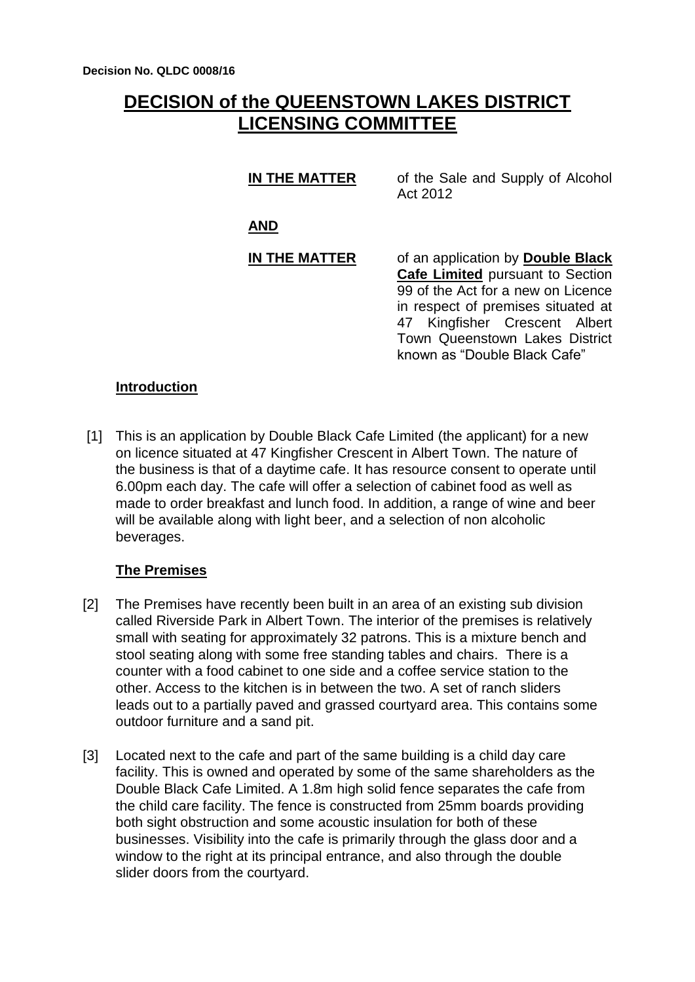# **DECISION of the QUEENSTOWN LAKES DISTRICT LICENSING COMMITTEE**

#### **IN THE MATTER** of the Sale and Supply of Alcohol Act 2012

**AND**

### **IN THE MATTER** of an application by **Double Black Cafe Limited** pursuant to Section 99 of the Act for a new on Licence in respect of premises situated at 47 Kingfisher Crescent Albert Town Queenstown Lakes District known as "Double Black Cafe"

### **Introduction**

[1] This is an application by Double Black Cafe Limited (the applicant) for a new on licence situated at 47 Kingfisher Crescent in Albert Town. The nature of the business is that of a daytime cafe. It has resource consent to operate until 6.00pm each day. The cafe will offer a selection of cabinet food as well as made to order breakfast and lunch food. In addition, a range of wine and beer will be available along with light beer, and a selection of non alcoholic beverages.

# **The Premises**

- [2] The Premises have recently been built in an area of an existing sub division called Riverside Park in Albert Town. The interior of the premises is relatively small with seating for approximately 32 patrons. This is a mixture bench and stool seating along with some free standing tables and chairs. There is a counter with a food cabinet to one side and a coffee service station to the other. Access to the kitchen is in between the two. A set of ranch sliders leads out to a partially paved and grassed courtyard area. This contains some outdoor furniture and a sand pit.
- [3] Located next to the cafe and part of the same building is a child day care facility. This is owned and operated by some of the same shareholders as the Double Black Cafe Limited. A 1.8m high solid fence separates the cafe from the child care facility. The fence is constructed from 25mm boards providing both sight obstruction and some acoustic insulation for both of these businesses. Visibility into the cafe is primarily through the glass door and a window to the right at its principal entrance, and also through the double slider doors from the courtyard.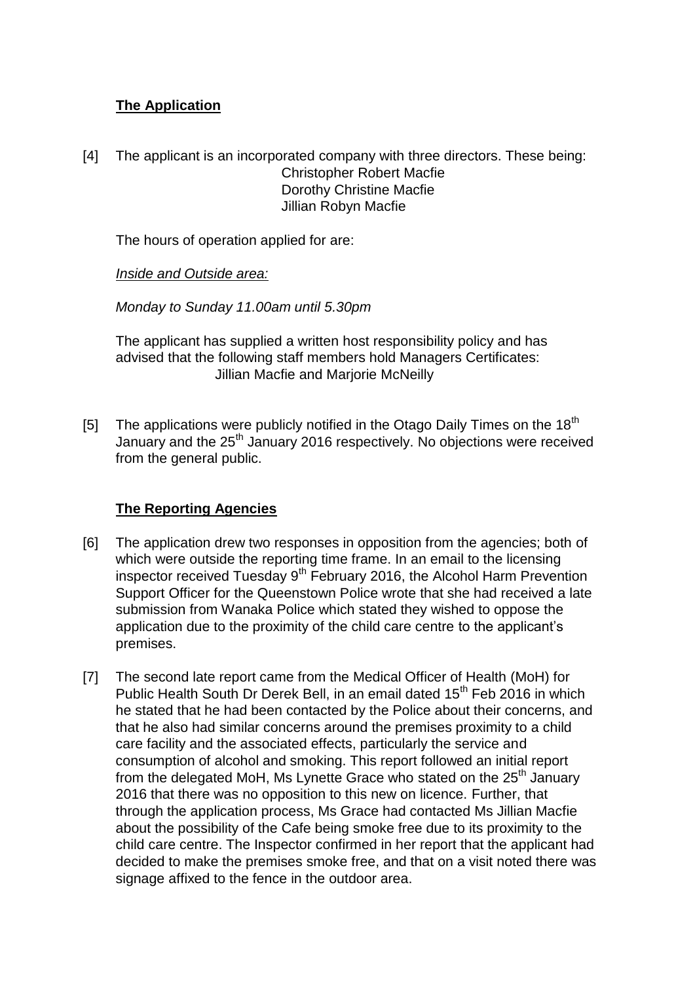# **The Application**

[4] The applicant is an incorporated company with three directors. These being: Christopher Robert Macfie Dorothy Christine Macfie Jillian Robyn Macfie

The hours of operation applied for are:

*Inside and Outside area:*

*Monday to Sunday 11.00am until 5.30pm*

The applicant has supplied a written host responsibility policy and has advised that the following staff members hold Managers Certificates: Jillian Macfie and Marjorie McNeilly

[5] The applications were publicly notified in the Otago Daily Times on the 18<sup>th</sup> January and the 25<sup>th</sup> January 2016 respectively. No objections were received from the general public.

# **The Reporting Agencies**

- [6] The application drew two responses in opposition from the agencies; both of which were outside the reporting time frame. In an email to the licensing inspector received Tuesday  $9<sup>th</sup>$  February 2016, the Alcohol Harm Prevention Support Officer for the Queenstown Police wrote that she had received a late submission from Wanaka Police which stated they wished to oppose the application due to the proximity of the child care centre to the applicant's premises.
- [7] The second late report came from the Medical Officer of Health (MoH) for Public Health South Dr Derek Bell, in an email dated 15<sup>th</sup> Feb 2016 in which he stated that he had been contacted by the Police about their concerns, and that he also had similar concerns around the premises proximity to a child care facility and the associated effects, particularly the service and consumption of alcohol and smoking. This report followed an initial report from the delegated MoH, Ms Lynette Grace who stated on the 25<sup>th</sup> January 2016 that there was no opposition to this new on licence. Further, that through the application process, Ms Grace had contacted Ms Jillian Macfie about the possibility of the Cafe being smoke free due to its proximity to the child care centre. The Inspector confirmed in her report that the applicant had decided to make the premises smoke free, and that on a visit noted there was signage affixed to the fence in the outdoor area.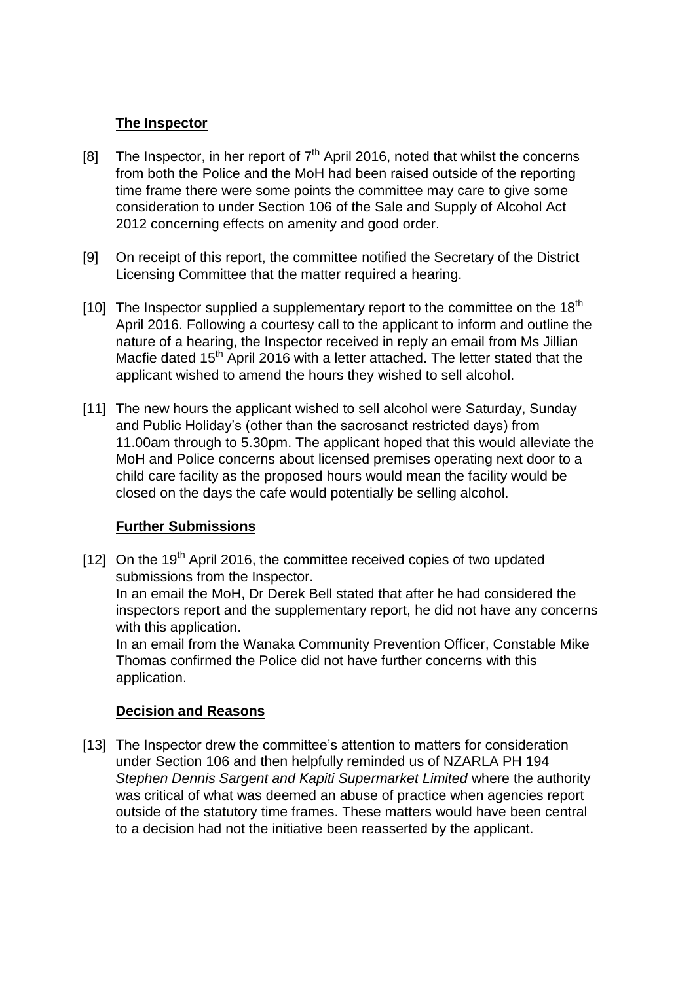# **The Inspector**

- [8] The Inspector, in her report of  $7<sup>th</sup>$  April 2016, noted that whilst the concerns from both the Police and the MoH had been raised outside of the reporting time frame there were some points the committee may care to give some consideration to under Section 106 of the Sale and Supply of Alcohol Act 2012 concerning effects on amenity and good order.
- [9] On receipt of this report, the committee notified the Secretary of the District Licensing Committee that the matter required a hearing.
- [10] The Inspector supplied a supplementary report to the committee on the  $18<sup>th</sup>$ April 2016. Following a courtesy call to the applicant to inform and outline the nature of a hearing, the Inspector received in reply an email from Ms Jillian Macfie dated 15<sup>th</sup> April 2016 with a letter attached. The letter stated that the applicant wished to amend the hours they wished to sell alcohol.
- [11] The new hours the applicant wished to sell alcohol were Saturday, Sunday and Public Holiday's (other than the sacrosanct restricted days) from 11.00am through to 5.30pm. The applicant hoped that this would alleviate the MoH and Police concerns about licensed premises operating next door to a child care facility as the proposed hours would mean the facility would be closed on the days the cafe would potentially be selling alcohol.

# **Further Submissions**

[12] On the 19<sup>th</sup> April 2016, the committee received copies of two updated submissions from the Inspector. In an email the MoH, Dr Derek Bell stated that after he had considered the inspectors report and the supplementary report, he did not have any concerns

with this application. In an email from the Wanaka Community Prevention Officer, Constable Mike Thomas confirmed the Police did not have further concerns with this application.

### **Decision and Reasons**

[13] The Inspector drew the committee's attention to matters for consideration under Section 106 and then helpfully reminded us of NZARLA PH 194 *Stephen Dennis Sargent and Kapiti Supermarket Limited* where the authority was critical of what was deemed an abuse of practice when agencies report outside of the statutory time frames. These matters would have been central to a decision had not the initiative been reasserted by the applicant.